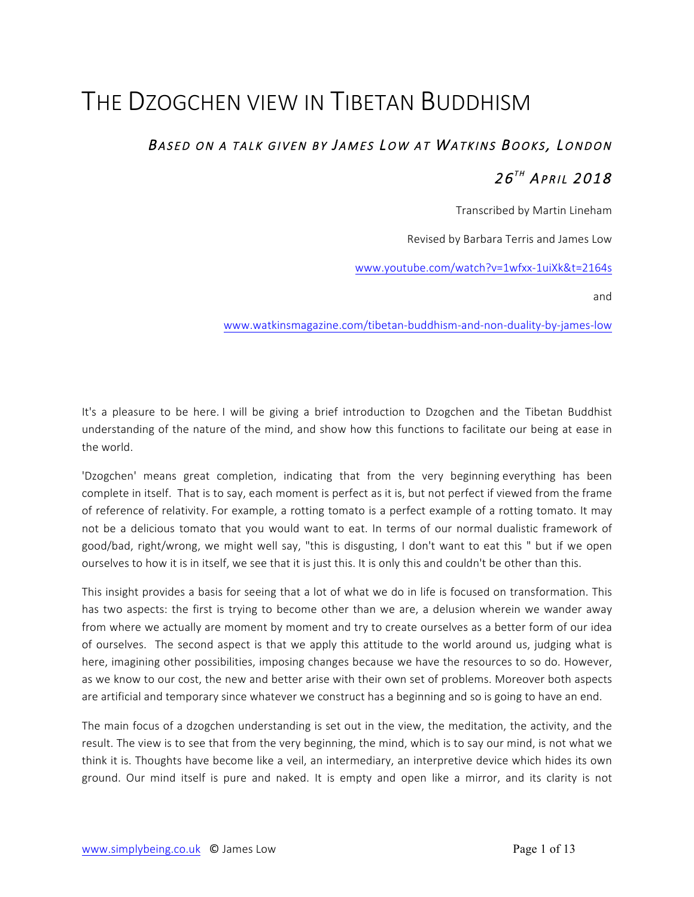# THE DZOGCHEN VIEW IN TIBETAN BUDDHISM

## BASED ON A TALK GIVEN BY JAMES LOW AT WATKINS BOOKS, LONDON  $26^{th}$  April 2018

Transcribed by Martin Lineham

Revised by Barbara Terris and James Low

www.youtube.com/watch?v=1wfxx-1uiXk&t=2164s

and

www.watkinsmagazine.com/tibetan-buddhism-and-non-duality-by-james-low

It's a pleasure to be here. I will be giving a brief introduction to Dzogchen and the Tibetan Buddhist understanding of the nature of the mind, and show how this functions to facilitate our being at ease in the world.

'Dzogchen' means great completion, indicating that from the very beginning everything has been complete in itself. That is to say, each moment is perfect as it is, but not perfect if viewed from the frame of reference of relativity. For example, a rotting tomato is a perfect example of a rotting tomato. It may not be a delicious tomato that you would want to eat. In terms of our normal dualistic framework of good/bad, right/wrong, we might well say, "this is disgusting, I don't want to eat this " but if we open ourselves to how it is in itself, we see that it is just this. It is only this and couldn't be other than this.

This insight provides a basis for seeing that a lot of what we do in life is focused on transformation. This has two aspects: the first is trying to become other than we are, a delusion wherein we wander away from where we actually are moment by moment and try to create ourselves as a better form of our idea of ourselves. The second aspect is that we apply this attitude to the world around us, judging what is here, imagining other possibilities, imposing changes because we have the resources to so do. However, as we know to our cost, the new and better arise with their own set of problems. Moreover both aspects are artificial and temporary since whatever we construct has a beginning and so is going to have an end.

The main focus of a dzogchen understanding is set out in the view, the meditation, the activity, and the result. The view is to see that from the very beginning, the mind, which is to say our mind, is not what we think it is. Thoughts have become like a veil, an intermediary, an interpretive device which hides its own ground. Our mind itself is pure and naked. It is empty and open like a mirror, and its clarity is not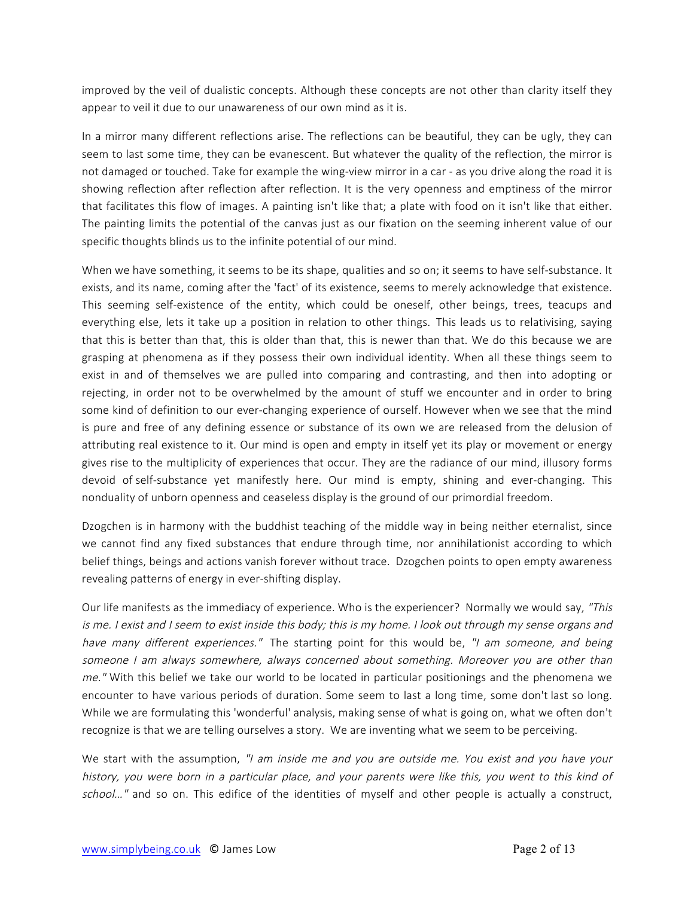improved by the veil of dualistic concepts. Although these concepts are not other than clarity itself they appear to veil it due to our unawareness of our own mind as it is.

In a mirror many different reflections arise. The reflections can be beautiful, they can be ugly, they can seem to last some time, they can be evanescent. But whatever the quality of the reflection, the mirror is not damaged or touched. Take for example the wing-view mirror in a car - as you drive along the road it is showing reflection after reflection after reflection. It is the very openness and emptiness of the mirror that facilitates this flow of images. A painting isn't like that; a plate with food on it isn't like that either. The painting limits the potential of the canvas just as our fixation on the seeming inherent value of our specific thoughts blinds us to the infinite potential of our mind.

When we have something, it seems to be its shape, qualities and so on; it seems to have self-substance. It exists, and its name, coming after the 'fact' of its existence, seems to merely acknowledge that existence. This seeming self-existence of the entity, which could be oneself, other beings, trees, teacups and everything else, lets it take up a position in relation to other things. This leads us to relativising, saying that this is better than that, this is older than that, this is newer than that. We do this because we are grasping at phenomena as if they possess their own individual identity. When all these things seem to exist in and of themselves we are pulled into comparing and contrasting, and then into adopting or rejecting, in order not to be overwhelmed by the amount of stuff we encounter and in order to bring some kind of definition to our ever-changing experience of ourself. However when we see that the mind is pure and free of any defining essence or substance of its own we are released from the delusion of attributing real existence to it. Our mind is open and empty in itself yet its play or movement or energy gives rise to the multiplicity of experiences that occur. They are the radiance of our mind, illusory forms devoid of self-substance yet manifestly here. Our mind is empty, shining and ever-changing. This nonduality of unborn openness and ceaseless display is the ground of our primordial freedom.

Dzogchen is in harmony with the buddhist teaching of the middle way in being neither eternalist, since we cannot find any fixed substances that endure through time, nor annihilationist according to which belief things, beings and actions vanish forever without trace. Dzogchen points to open empty awareness revealing patterns of energy in ever-shifting display.

Our life manifests as the immediacy of experience. Who is the experiencer? Normally we would say, "This is me. I exist and I seem to exist inside this body; this is my home. I look out through my sense organs and have many different experiences." The starting point for this would be, "I am someone, and being someone I am always somewhere, always concerned about something. Moreover you are other than me." With this belief we take our world to be located in particular positionings and the phenomena we encounter to have various periods of duration. Some seem to last a long time, some don't last so long. While we are formulating this 'wonderful' analysis, making sense of what is going on, what we often don't recognize is that we are telling ourselves a story. We are inventing what we seem to be perceiving.

We start with the assumption, "I am inside me and you are outside me. You exist and you have your history, you were born in a particular place, and your parents were like this, you went to this kind of school..." and so on. This edifice of the identities of myself and other people is actually a construct,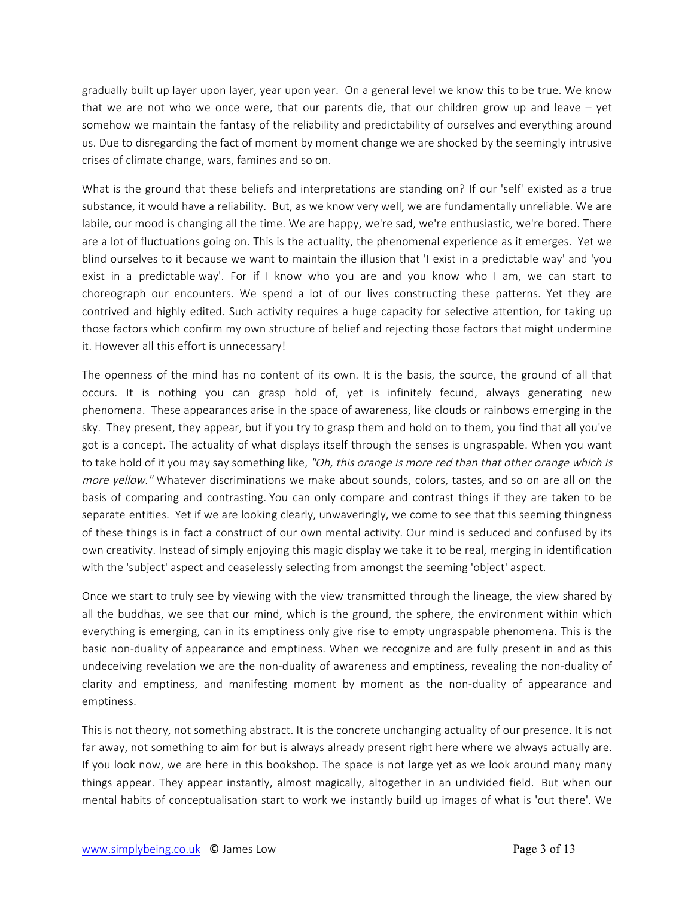gradually built up layer upon layer, year upon year. On a general level we know this to be true. We know that we are not who we once were, that our parents die, that our children grow up and leave – yet somehow we maintain the fantasy of the reliability and predictability of ourselves and everything around us. Due to disregarding the fact of moment by moment change we are shocked by the seemingly intrusive crises of climate change, wars, famines and so on.

What is the ground that these beliefs and interpretations are standing on? If our 'self' existed as a true substance, it would have a reliability. But, as we know very well, we are fundamentally unreliable. We are labile, our mood is changing all the time. We are happy, we're sad, we're enthusiastic, we're bored. There are a lot of fluctuations going on. This is the actuality, the phenomenal experience as it emerges. Yet we blind ourselves to it because we want to maintain the illusion that 'I exist in a predictable way' and 'you exist in a predictable way'. For if I know who you are and you know who I am, we can start to choreograph our encounters. We spend a lot of our lives constructing these patterns. Yet they are contrived and highly edited. Such activity requires a huge capacity for selective attention, for taking up those factors which confirm my own structure of belief and rejecting those factors that might undermine it. However all this effort is unnecessary!

The openness of the mind has no content of its own. It is the basis, the source, the ground of all that occurs. It is nothing you can grasp hold of, yet is infinitely fecund, always generating new phenomena. These appearances arise in the space of awareness, like clouds or rainbows emerging in the sky. They present, they appear, but if you try to grasp them and hold on to them, you find that all you've got is a concept. The actuality of what displays itself through the senses is ungraspable. When you want to take hold of it you may say something like, "Oh, this orange is more red than that other orange which is more yellow." Whatever discriminations we make about sounds, colors, tastes, and so on are all on the basis of comparing and contrasting. You can only compare and contrast things if they are taken to be separate entities. Yet if we are looking clearly, unwaveringly, we come to see that this seeming thingness of these things is in fact a construct of our own mental activity. Our mind is seduced and confused by its own creativity. Instead of simply enjoying this magic display we take it to be real, merging in identification with the 'subject' aspect and ceaselessly selecting from amongst the seeming 'object' aspect.

Once we start to truly see by viewing with the view transmitted through the lineage, the view shared by all the buddhas, we see that our mind, which is the ground, the sphere, the environment within which everything is emerging, can in its emptiness only give rise to empty ungraspable phenomena. This is the basic non-duality of appearance and emptiness. When we recognize and are fully present in and as this undeceiving revelation we are the non-duality of awareness and emptiness, revealing the non-duality of clarity and emptiness, and manifesting moment by moment as the non-duality of appearance and emptiness.

This is not theory, not something abstract. It is the concrete unchanging actuality of our presence. It is not far away, not something to aim for but is always already present right here where we always actually are. If you look now, we are here in this bookshop. The space is not large yet as we look around many many things appear. They appear instantly, almost magically, altogether in an undivided field. But when our mental habits of conceptualisation start to work we instantly build up images of what is 'out there'. We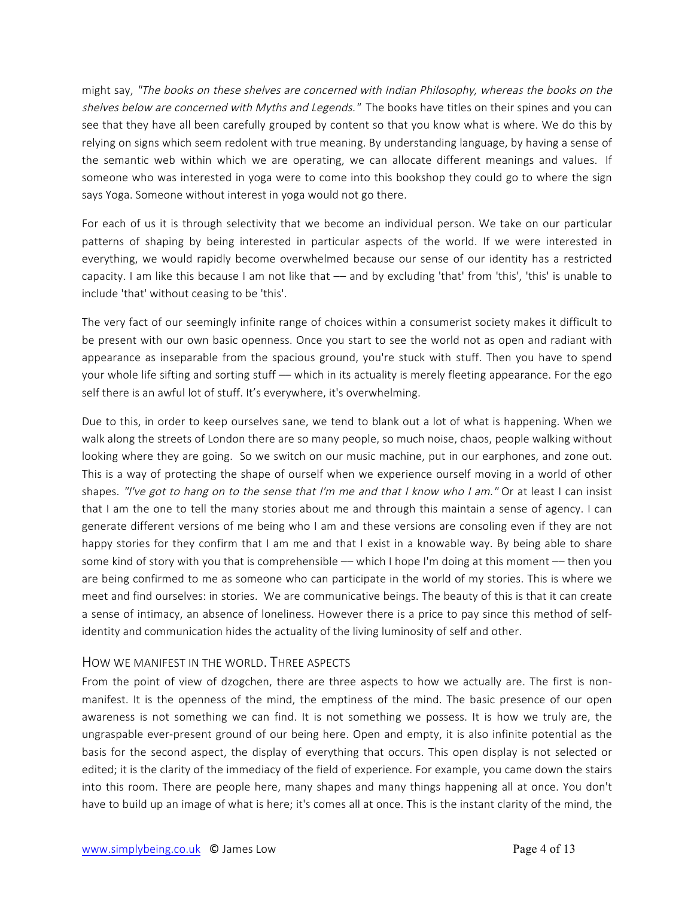might say, "The books on these shelves are concerned with Indian Philosophy, whereas the books on the shelves below are concerned with Myths and Legends." The books have titles on their spines and you can see that they have all been carefully grouped by content so that you know what is where. We do this by relying on signs which seem redolent with true meaning. By understanding language, by having a sense of the semantic web within which we are operating, we can allocate different meanings and values. If someone who was interested in yoga were to come into this bookshop they could go to where the sign says Yoga. Someone without interest in yoga would not go there.

For each of us it is through selectivity that we become an individual person. We take on our particular patterns of shaping by being interested in particular aspects of the world. If we were interested in everything, we would rapidly become overwhelmed because our sense of our identity has a restricted capacity. I am like this because I am not like that –– and by excluding 'that' from 'this', 'this' is unable to include 'that' without ceasing to be 'this'.

The very fact of our seemingly infinite range of choices within a consumerist society makes it difficult to be present with our own basic openness. Once you start to see the world not as open and radiant with appearance as inseparable from the spacious ground, you're stuck with stuff. Then you have to spend your whole life sifting and sorting stuff –– which in its actuality is merely fleeting appearance. For the ego self there is an awful lot of stuff. It's everywhere, it's overwhelming.

Due to this, in order to keep ourselves sane, we tend to blank out a lot of what is happening. When we walk along the streets of London there are so many people, so much noise, chaos, people walking without looking where they are going. So we switch on our music machine, put in our earphones, and zone out. This is a way of protecting the shape of ourself when we experience ourself moving in a world of other shapes. "I've got to hang on to the sense that I'm me and that I know who I am." Or at least I can insist that I am the one to tell the many stories about me and through this maintain a sense of agency. I can generate different versions of me being who I am and these versions are consoling even if they are not happy stories for they confirm that I am me and that I exist in a knowable way. By being able to share some kind of story with you that is comprehensible — which I hope I'm doing at this moment — then you are being confirmed to me as someone who can participate in the world of my stories. This is where we meet and find ourselves: in stories. We are communicative beings. The beauty of this is that it can create a sense of intimacy, an absence of loneliness. However there is a price to pay since this method of selfidentity and communication hides the actuality of the living luminosity of self and other.

### HOW WE MANIFEST IN THE WORLD. THREE ASPECTS

From the point of view of dzogchen, there are three aspects to how we actually are. The first is nonmanifest. It is the openness of the mind, the emptiness of the mind. The basic presence of our open awareness is not something we can find. It is not something we possess. It is how we truly are, the ungraspable ever-present ground of our being here. Open and empty, it is also infinite potential as the basis for the second aspect, the display of everything that occurs. This open display is not selected or edited; it is the clarity of the immediacy of the field of experience. For example, you came down the stairs into this room. There are people here, many shapes and many things happening all at once. You don't have to build up an image of what is here; it's comes all at once. This is the instant clarity of the mind, the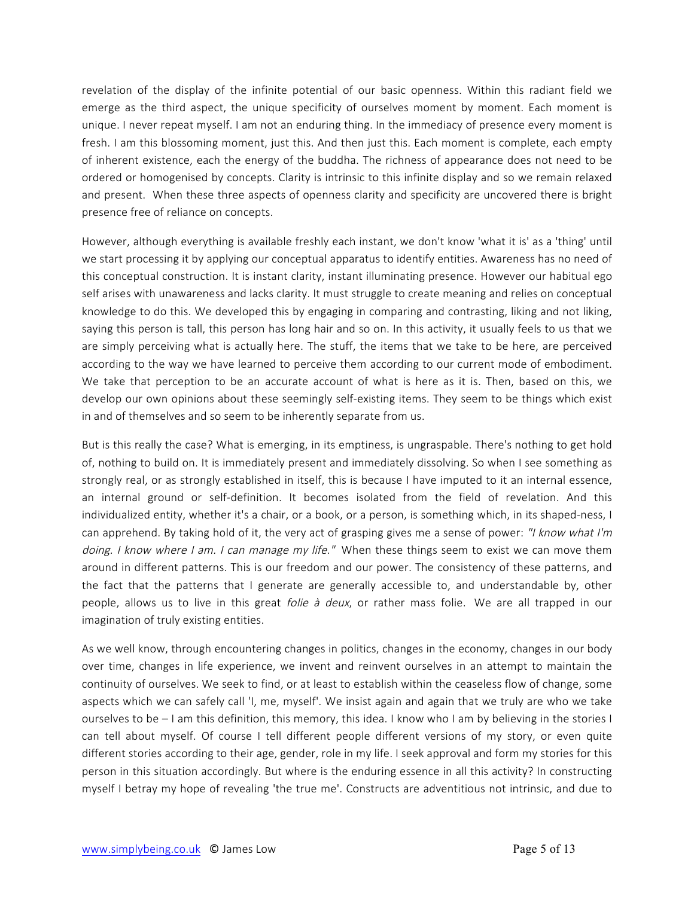revelation of the display of the infinite potential of our basic openness. Within this radiant field we emerge as the third aspect, the unique specificity of ourselves moment by moment. Each moment is unique. I never repeat myself. I am not an enduring thing. In the immediacy of presence every moment is fresh. I am this blossoming moment, just this. And then just this. Each moment is complete, each empty of inherent existence, each the energy of the buddha. The richness of appearance does not need to be ordered or homogenised by concepts. Clarity is intrinsic to this infinite display and so we remain relaxed and present. When these three aspects of openness clarity and specificity are uncovered there is bright presence free of reliance on concepts.

However, although everything is available freshly each instant, we don't know 'what it is' as a 'thing' until we start processing it by applying our conceptual apparatus to identify entities. Awareness has no need of this conceptual construction. It is instant clarity, instant illuminating presence. However our habitual ego self arises with unawareness and lacks clarity. It must struggle to create meaning and relies on conceptual knowledge to do this. We developed this by engaging in comparing and contrasting, liking and not liking, saying this person is tall, this person has long hair and so on. In this activity, it usually feels to us that we are simply perceiving what is actually here. The stuff, the items that we take to be here, are perceived according to the way we have learned to perceive them according to our current mode of embodiment. We take that perception to be an accurate account of what is here as it is. Then, based on this, we develop our own opinions about these seemingly self-existing items. They seem to be things which exist in and of themselves and so seem to be inherently separate from us.

But is this really the case? What is emerging, in its emptiness, is ungraspable. There's nothing to get hold of, nothing to build on. It is immediately present and immediately dissolving. So when I see something as strongly real, or as strongly established in itself, this is because I have imputed to it an internal essence, an internal ground or self-definition. It becomes isolated from the field of revelation. And this individualized entity, whether it's a chair, or a book, or a person, is something which, in its shaped-ness, I can apprehend. By taking hold of it, the very act of grasping gives me a sense of power: "I know what I'm doing. I know where I am. I can manage my life." When these things seem to exist we can move them around in different patterns. This is our freedom and our power. The consistency of these patterns, and the fact that the patterns that I generate are generally accessible to, and understandable by, other people, allows us to live in this great *folie à deux*, or rather mass folie. We are all trapped in our imagination of truly existing entities.

As we well know, through encountering changes in politics, changes in the economy, changes in our body over time, changes in life experience, we invent and reinvent ourselves in an attempt to maintain the continuity of ourselves. We seek to find, or at least to establish within the ceaseless flow of change, some aspects which we can safely call 'I, me, myself'. We insist again and again that we truly are who we take ourselves to be – I am this definition, this memory, this idea. I know who I am by believing in the stories I can tell about myself. Of course I tell different people different versions of my story, or even quite different stories according to their age, gender, role in my life. I seek approval and form my stories for this person in this situation accordingly. But where is the enduring essence in all this activity? In constructing myself I betray my hope of revealing 'the true me'. Constructs are adventitious not intrinsic, and due to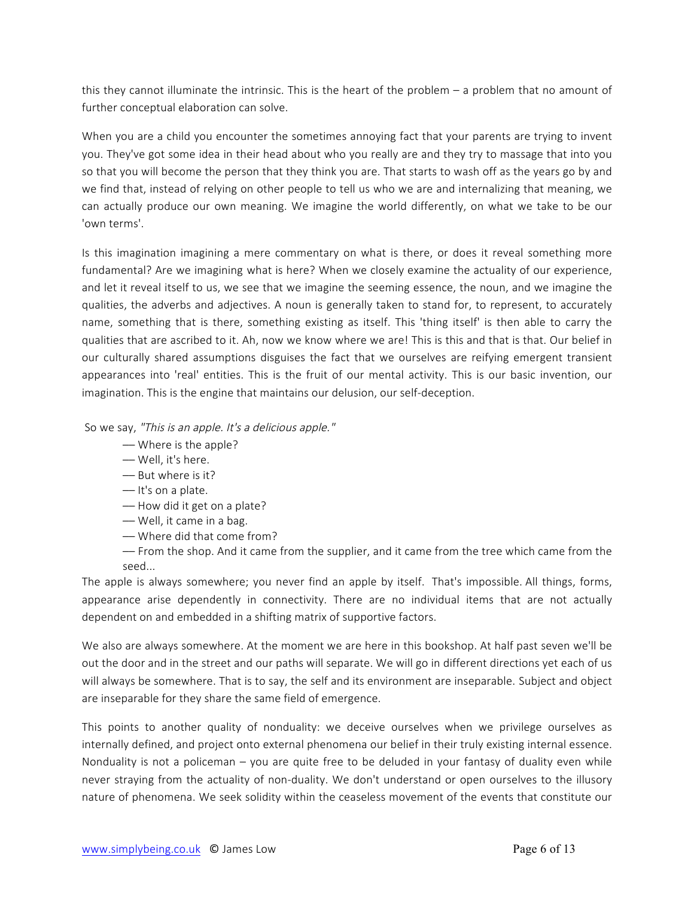this they cannot illuminate the intrinsic. This is the heart of the problem – a problem that no amount of further conceptual elaboration can solve.

When you are a child you encounter the sometimes annoying fact that your parents are trying to invent you. They've got some idea in their head about who you really are and they try to massage that into you so that you will become the person that they think you are. That starts to wash off as the years go by and we find that, instead of relying on other people to tell us who we are and internalizing that meaning, we can actually produce our own meaning. We imagine the world differently, on what we take to be our 'own terms'.

Is this imagination imagining a mere commentary on what is there, or does it reveal something more fundamental? Are we imagining what is here? When we closely examine the actuality of our experience, and let it reveal itself to us, we see that we imagine the seeming essence, the noun, and we imagine the qualities, the adverbs and adjectives. A noun is generally taken to stand for, to represent, to accurately name, something that is there, something existing as itself. This 'thing itself' is then able to carry the qualities that are ascribed to it. Ah, now we know where we are! This is this and that is that. Our belief in our culturally shared assumptions disguises the fact that we ourselves are reifying emergent transient appearances into 'real' entities. This is the fruit of our mental activity. This is our basic invention, our imagination. This is the engine that maintains our delusion, our self-deception.

So we say, "This is an apple. It's a delicious apple."

- –– Where is the apple?
- –– Well, it's here.
- –– But where is it?
- –– It's on a plate.
- –– How did it get on a plate?
- –– Well, it came in a bag.
- –– Where did that come from?
- –– From the shop. And it came from the supplier, and it came from the tree which came from the seed...

The apple is always somewhere; you never find an apple by itself. That's impossible. All things, forms, appearance arise dependently in connectivity. There are no individual items that are not actually dependent on and embedded in a shifting matrix of supportive factors.

We also are always somewhere. At the moment we are here in this bookshop. At half past seven we'll be out the door and in the street and our paths will separate. We will go in different directions yet each of us will always be somewhere. That is to say, the self and its environment are inseparable. Subject and object are inseparable for they share the same field of emergence.

This points to another quality of nonduality: we deceive ourselves when we privilege ourselves as internally defined, and project onto external phenomena our belief in their truly existing internal essence. Nonduality is not a policeman – you are quite free to be deluded in your fantasy of duality even while never straying from the actuality of non-duality. We don't understand or open ourselves to the illusory nature of phenomena. We seek solidity within the ceaseless movement of the events that constitute our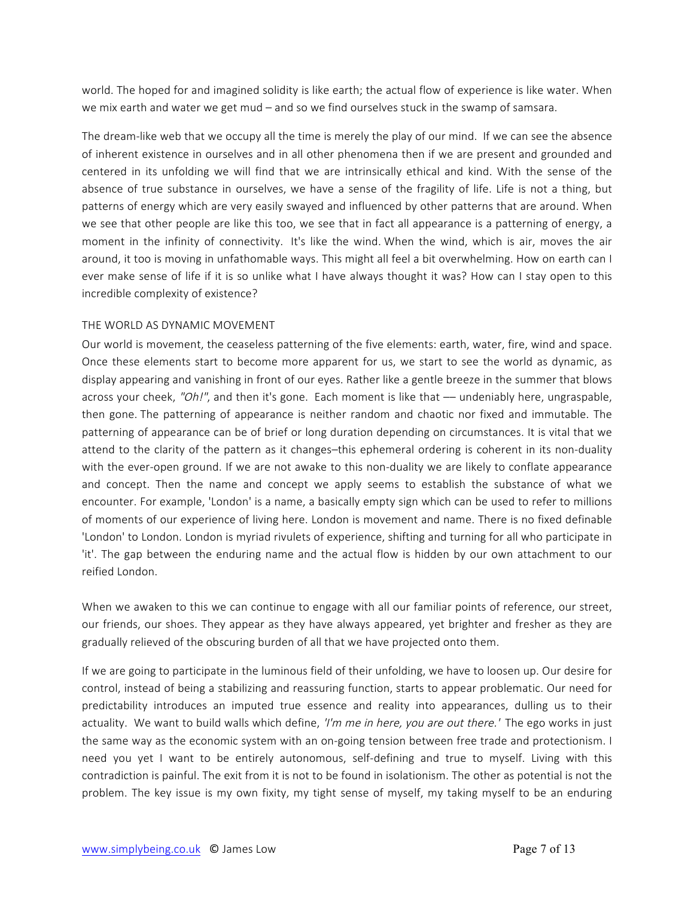world. The hoped for and imagined solidity is like earth; the actual flow of experience is like water. When we mix earth and water we get mud – and so we find ourselves stuck in the swamp of samsara.

The dream-like web that we occupy all the time is merely the play of our mind. If we can see the absence of inherent existence in ourselves and in all other phenomena then if we are present and grounded and centered in its unfolding we will find that we are intrinsically ethical and kind. With the sense of the absence of true substance in ourselves, we have a sense of the fragility of life. Life is not a thing, but patterns of energy which are very easily swayed and influenced by other patterns that are around. When we see that other people are like this too, we see that in fact all appearance is a patterning of energy, a moment in the infinity of connectivity. It's like the wind. When the wind, which is air, moves the air around, it too is moving in unfathomable ways. This might all feel a bit overwhelming. How on earth can I ever make sense of life if it is so unlike what I have always thought it was? How can I stay open to this incredible complexity of existence?

#### THE WORLD AS DYNAMIC MOVEMENT

Our world is movement, the ceaseless patterning of the five elements: earth, water, fire, wind and space. Once these elements start to become more apparent for us, we start to see the world as dynamic, as display appearing and vanishing in front of our eyes. Rather like a gentle breeze in the summer that blows across your cheek, "Oh!", and then it's gone. Each moment is like that — undeniably here, ungraspable, then gone. The patterning of appearance is neither random and chaotic nor fixed and immutable. The patterning of appearance can be of brief or long duration depending on circumstances. It is vital that we attend to the clarity of the pattern as it changes–this ephemeral ordering is coherent in its non-duality with the ever-open ground. If we are not awake to this non-duality we are likely to conflate appearance and concept. Then the name and concept we apply seems to establish the substance of what we encounter. For example, 'London' is a name, a basically empty sign which can be used to refer to millions of moments of our experience of living here. London is movement and name. There is no fixed definable 'London' to London. London is myriad rivulets of experience, shifting and turning for all who participate in 'it'. The gap between the enduring name and the actual flow is hidden by our own attachment to our reified London.

When we awaken to this we can continue to engage with all our familiar points of reference, our street, our friends, our shoes. They appear as they have always appeared, yet brighter and fresher as they are gradually relieved of the obscuring burden of all that we have projected onto them.

If we are going to participate in the luminous field of their unfolding, we have to loosen up. Our desire for control, instead of being a stabilizing and reassuring function, starts to appear problematic. Our need for predictability introduces an imputed true essence and reality into appearances, dulling us to their actuality. We want to build walls which define, 'I'm me in here, you are out there.' The ego works in just the same way as the economic system with an on-going tension between free trade and protectionism. I need you yet I want to be entirely autonomous, self-defining and true to myself. Living with this contradiction is painful. The exit from it is not to be found in isolationism. The other as potential is not the problem. The key issue is my own fixity, my tight sense of myself, my taking myself to be an enduring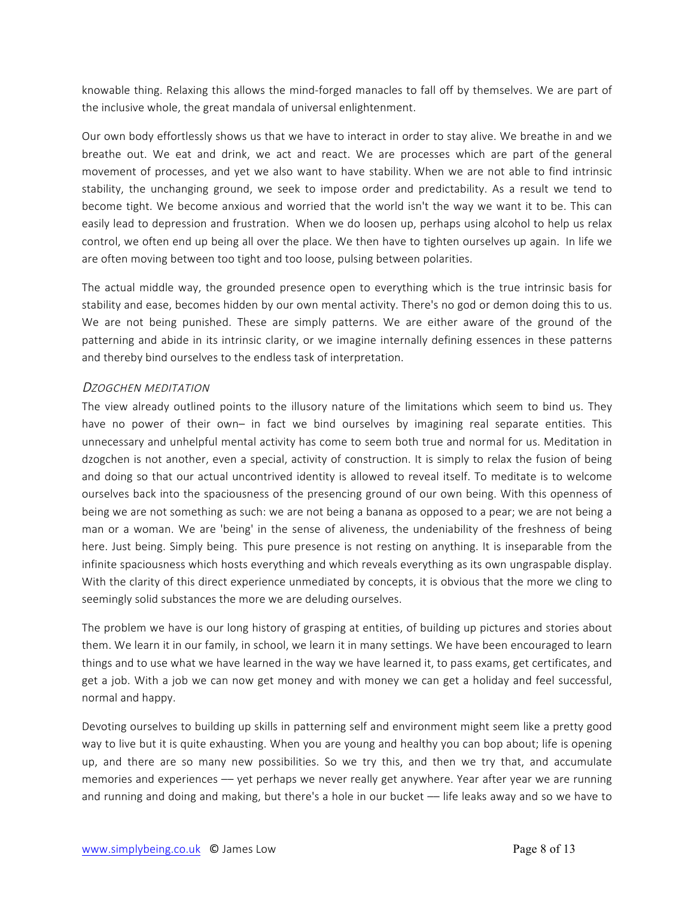knowable thing. Relaxing this allows the mind-forged manacles to fall off by themselves. We are part of the inclusive whole, the great mandala of universal enlightenment.

Our own body effortlessly shows us that we have to interact in order to stay alive. We breathe in and we breathe out. We eat and drink, we act and react. We are processes which are part of the general movement of processes, and yet we also want to have stability. When we are not able to find intrinsic stability, the unchanging ground, we seek to impose order and predictability. As a result we tend to become tight. We become anxious and worried that the world isn't the way we want it to be. This can easily lead to depression and frustration. When we do loosen up, perhaps using alcohol to help us relax control, we often end up being all over the place. We then have to tighten ourselves up again. In life we are often moving between too tight and too loose, pulsing between polarities.

The actual middle way, the grounded presence open to everything which is the true intrinsic basis for stability and ease, becomes hidden by our own mental activity. There's no god or demon doing this to us. We are not being punished. These are simply patterns. We are either aware of the ground of the patterning and abide in its intrinsic clarity, or we imagine internally defining essences in these patterns and thereby bind ourselves to the endless task of interpretation.

#### DZOGCHEN MEDITATION

The view already outlined points to the illusory nature of the limitations which seem to bind us. They have no power of their own- in fact we bind ourselves by imagining real separate entities. This unnecessary and unhelpful mental activity has come to seem both true and normal for us. Meditation in dzogchen is not another, even a special, activity of construction. It is simply to relax the fusion of being and doing so that our actual uncontrived identity is allowed to reveal itself. To meditate is to welcome ourselves back into the spaciousness of the presencing ground of our own being. With this openness of being we are not something as such: we are not being a banana as opposed to a pear; we are not being a man or a woman. We are 'being' in the sense of aliveness, the undeniability of the freshness of being here. Just being. Simply being. This pure presence is not resting on anything. It is inseparable from the infinite spaciousness which hosts everything and which reveals everything as its own ungraspable display. With the clarity of this direct experience unmediated by concepts, it is obvious that the more we cling to seemingly solid substances the more we are deluding ourselves.

The problem we have is our long history of grasping at entities, of building up pictures and stories about them. We learn it in our family, in school, we learn it in many settings. We have been encouraged to learn things and to use what we have learned in the way we have learned it, to pass exams, get certificates, and get a job. With a job we can now get money and with money we can get a holiday and feel successful, normal and happy.

Devoting ourselves to building up skills in patterning self and environment might seem like a pretty good way to live but it is quite exhausting. When you are young and healthy you can bop about; life is opening up, and there are so many new possibilities. So we try this, and then we try that, and accumulate memories and experiences –– yet perhaps we never really get anywhere. Year after year we are running and running and doing and making, but there's a hole in our bucket — life leaks away and so we have to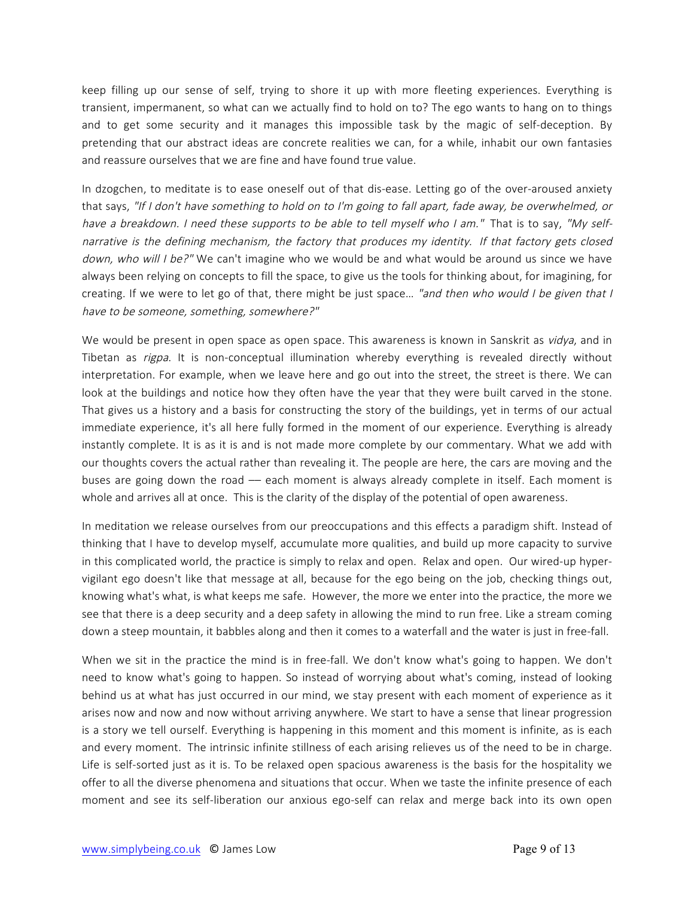keep filling up our sense of self, trying to shore it up with more fleeting experiences. Everything is transient, impermanent, so what can we actually find to hold on to? The ego wants to hang on to things and to get some security and it manages this impossible task by the magic of self-deception. By pretending that our abstract ideas are concrete realities we can, for a while, inhabit our own fantasies and reassure ourselves that we are fine and have found true value.

In dzogchen, to meditate is to ease oneself out of that dis-ease. Letting go of the over-aroused anxiety that says, "If I don't have something to hold on to I'm going to fall apart, fade away, be overwhelmed, or have a breakdown. I need these supports to be able to tell myself who I am." That is to say, "My selfnarrative is the defining mechanism, the factory that produces my identity. If that factory gets closed down, who will I be?" We can't imagine who we would be and what would be around us since we have always been relying on concepts to fill the space, to give us the tools for thinking about, for imagining, for creating. If we were to let go of that, there might be just space... "and then who would I be given that I have to be someone, something, somewhere?"

We would be present in open space as open space. This awareness is known in Sanskrit as *vidya*, and in Tibetan as *rigpa*. It is non-conceptual illumination whereby everything is revealed directly without interpretation. For example, when we leave here and go out into the street, the street is there. We can look at the buildings and notice how they often have the year that they were built carved in the stone. That gives us a history and a basis for constructing the story of the buildings, yet in terms of our actual immediate experience, it's all here fully formed in the moment of our experience. Everything is already instantly complete. It is as it is and is not made more complete by our commentary. What we add with our thoughts covers the actual rather than revealing it. The people are here, the cars are moving and the buses are going down the road –– each moment is always already complete in itself. Each moment is whole and arrives all at once. This is the clarity of the display of the potential of open awareness.

In meditation we release ourselves from our preoccupations and this effects a paradigm shift. Instead of thinking that I have to develop myself, accumulate more qualities, and build up more capacity to survive in this complicated world, the practice is simply to relax and open. Relax and open. Our wired-up hypervigilant ego doesn't like that message at all, because for the ego being on the job, checking things out, knowing what's what, is what keeps me safe. However, the more we enter into the practice, the more we see that there is a deep security and a deep safety in allowing the mind to run free. Like a stream coming down a steep mountain, it babbles along and then it comes to a waterfall and the water is just in free-fall.

When we sit in the practice the mind is in free-fall. We don't know what's going to happen. We don't need to know what's going to happen. So instead of worrying about what's coming, instead of looking behind us at what has just occurred in our mind, we stay present with each moment of experience as it arises now and now and now without arriving anywhere. We start to have a sense that linear progression is a story we tell ourself. Everything is happening in this moment and this moment is infinite, as is each and every moment. The intrinsic infinite stillness of each arising relieves us of the need to be in charge. Life is self-sorted just as it is. To be relaxed open spacious awareness is the basis for the hospitality we offer to all the diverse phenomena and situations that occur. When we taste the infinite presence of each moment and see its self-liberation our anxious ego-self can relax and merge back into its own open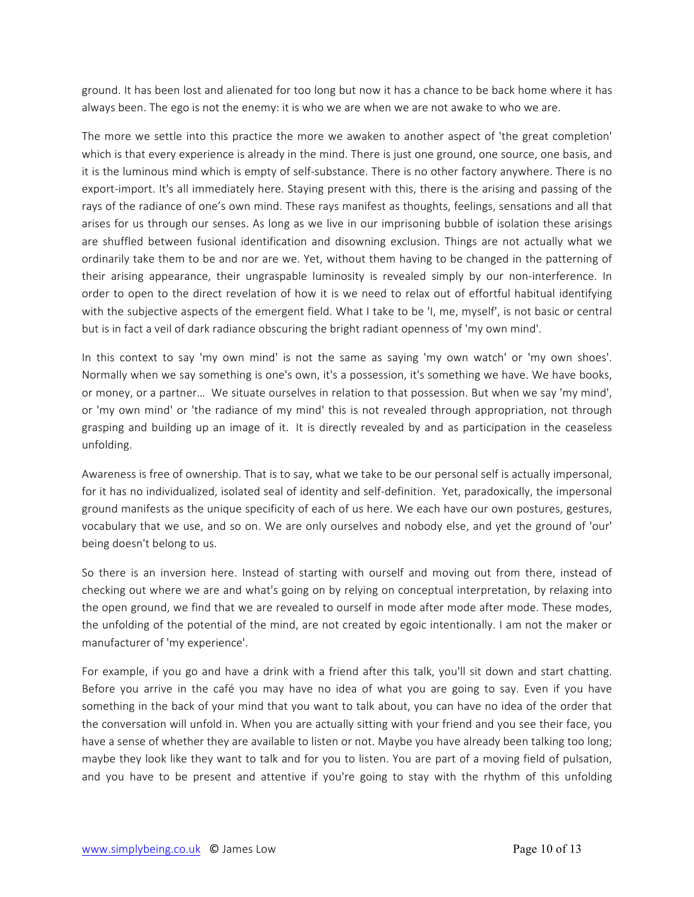ground. It has been lost and alienated for too long but now it has a chance to be back home where it has always been. The ego is not the enemy: it is who we are when we are not awake to who we are.

The more we settle into this practice the more we awaken to another aspect of 'the great completion' which is that every experience is already in the mind. There is just one ground, one source, one basis, and it is the luminous mind which is empty of self-substance. There is no other factory anywhere. There is no export-import. It's all immediately here. Staying present with this, there is the arising and passing of the rays of the radiance of one's own mind. These rays manifest as thoughts, feelings, sensations and all that arises for us through our senses. As long as we live in our imprisoning bubble of isolation these arisings are shuffled between fusional identification and disowning exclusion. Things are not actually what we ordinarily take them to be and nor are we. Yet, without them having to be changed in the patterning of their arising appearance, their ungraspable luminosity is revealed simply by our non-interference. In order to open to the direct revelation of how it is we need to relax out of effortful habitual identifying with the subjective aspects of the emergent field. What I take to be 'I, me, myself', is not basic or central but is in fact a veil of dark radiance obscuring the bright radiant openness of 'my own mind'.

In this context to say 'my own mind' is not the same as saying 'my own watch' or 'my own shoes'. Normally when we say something is one's own, it's a possession, it's something we have. We have books, or money, or a partner… We situate ourselves in relation to that possession. But when we say 'my mind', or 'my own mind' or 'the radiance of my mind' this is not revealed through appropriation, not through grasping and building up an image of it. It is directly revealed by and as participation in the ceaseless unfolding.

Awareness is free of ownership. That is to say, what we take to be our personal self is actually impersonal, for it has no individualized, isolated seal of identity and self-definition. Yet, paradoxically, the impersonal ground manifests as the unique specificity of each of us here. We each have our own postures, gestures, vocabulary that we use, and so on. We are only ourselves and nobody else, and yet the ground of 'our' being doesn't belong to us.

So there is an inversion here. Instead of starting with ourself and moving out from there, instead of checking out where we are and what's going on by relying on conceptual interpretation, by relaxing into the open ground, we find that we are revealed to ourself in mode after mode after mode. These modes, the unfolding of the potential of the mind, are not created by egoic intentionally. I am not the maker or manufacturer of 'my experience'.

For example, if you go and have a drink with a friend after this talk, you'll sit down and start chatting. Before you arrive in the café you may have no idea of what you are going to say. Even if you have something in the back of your mind that you want to talk about, you can have no idea of the order that the conversation will unfold in. When you are actually sitting with your friend and you see their face, you have a sense of whether they are available to listen or not. Maybe you have already been talking too long; maybe they look like they want to talk and for you to listen. You are part of a moving field of pulsation, and you have to be present and attentive if you're going to stay with the rhythm of this unfolding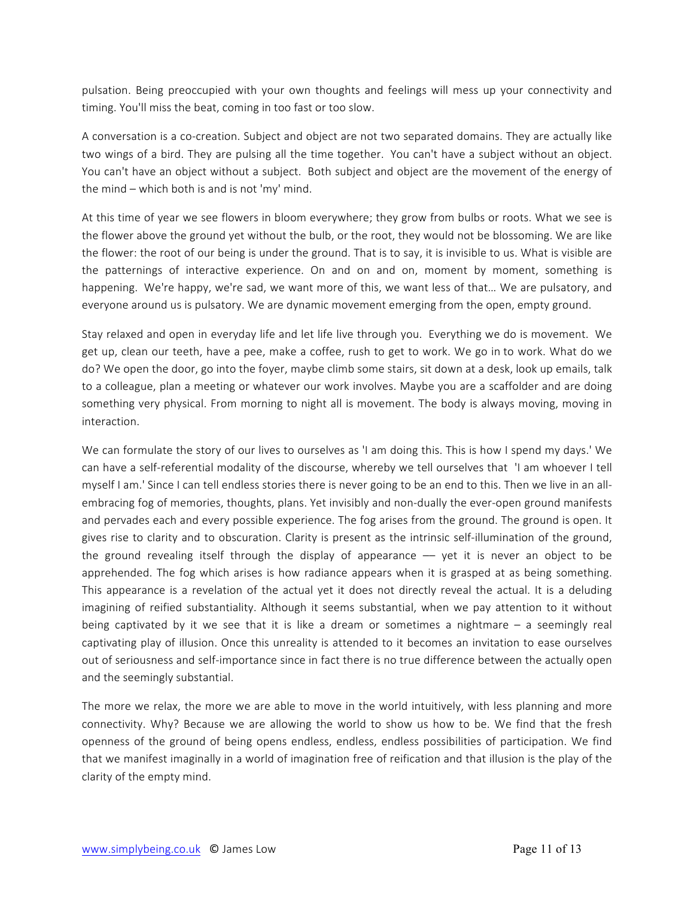pulsation. Being preoccupied with your own thoughts and feelings will mess up your connectivity and timing. You'll miss the beat, coming in too fast or too slow.

A conversation is a co-creation. Subject and object are not two separated domains. They are actually like two wings of a bird. They are pulsing all the time together. You can't have a subject without an object. You can't have an object without a subject. Both subject and object are the movement of the energy of the mind – which both is and is not 'my' mind.

At this time of year we see flowers in bloom everywhere; they grow from bulbs or roots. What we see is the flower above the ground yet without the bulb, or the root, they would not be blossoming. We are like the flower: the root of our being is under the ground. That is to say, it is invisible to us. What is visible are the patternings of interactive experience. On and on and on, moment by moment, something is happening. We're happy, we're sad, we want more of this, we want less of that… We are pulsatory, and everyone around us is pulsatory. We are dynamic movement emerging from the open, empty ground.

Stay relaxed and open in everyday life and let life live through you. Everything we do is movement. We get up, clean our teeth, have a pee, make a coffee, rush to get to work. We go in to work. What do we do? We open the door, go into the foyer, maybe climb some stairs, sit down at a desk, look up emails, talk to a colleague, plan a meeting or whatever our work involves. Maybe you are a scaffolder and are doing something very physical. From morning to night all is movement. The body is always moving, moving in interaction.

We can formulate the story of our lives to ourselves as 'I am doing this. This is how I spend my days.' We can have a self-referential modality of the discourse, whereby we tell ourselves that 'I am whoever I tell myself I am.' Since I can tell endless stories there is never going to be an end to this. Then we live in an allembracing fog of memories, thoughts, plans. Yet invisibly and non-dually the ever-open ground manifests and pervades each and every possible experience. The fog arises from the ground. The ground is open. It gives rise to clarity and to obscuration. Clarity is present as the intrinsic self-illumination of the ground, the ground revealing itself through the display of appearance -- yet it is never an object to be apprehended. The fog which arises is how radiance appears when it is grasped at as being something. This appearance is a revelation of the actual yet it does not directly reveal the actual. It is a deluding imagining of reified substantiality. Although it seems substantial, when we pay attention to it without being captivated by it we see that it is like a dream or sometimes a nightmare – a seemingly real captivating play of illusion. Once this unreality is attended to it becomes an invitation to ease ourselves out of seriousness and self-importance since in fact there is no true difference between the actually open and the seemingly substantial.

The more we relax, the more we are able to move in the world intuitively, with less planning and more connectivity. Why? Because we are allowing the world to show us how to be. We find that the fresh openness of the ground of being opens endless, endless, endless possibilities of participation. We find that we manifest imaginally in a world of imagination free of reification and that illusion is the play of the clarity of the empty mind.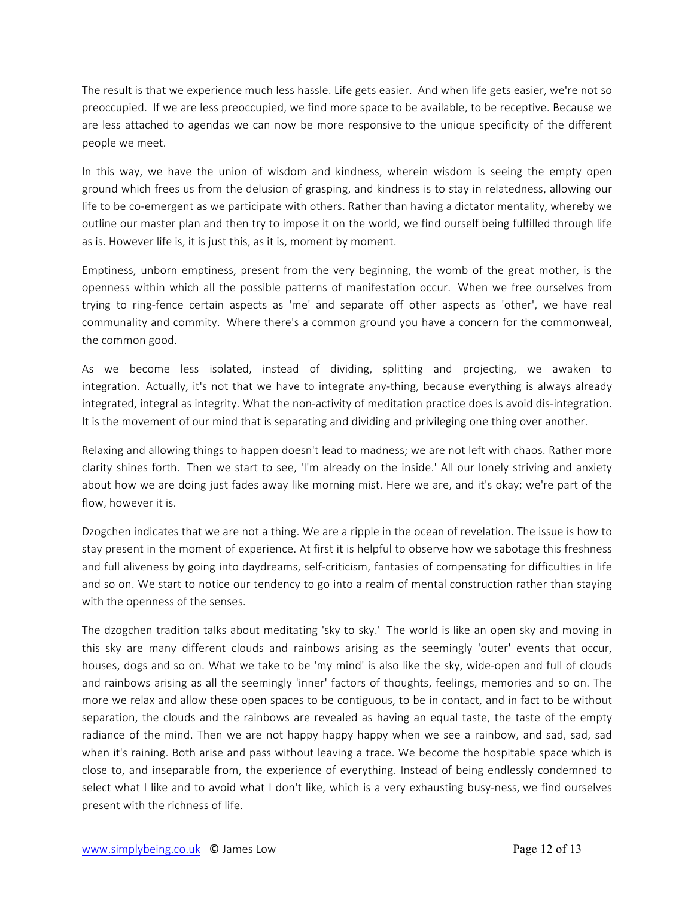The result is that we experience much less hassle. Life gets easier. And when life gets easier, we're not so preoccupied. If we are less preoccupied, we find more space to be available, to be receptive. Because we are less attached to agendas we can now be more responsive to the unique specificity of the different people we meet.

In this way, we have the union of wisdom and kindness, wherein wisdom is seeing the empty open ground which frees us from the delusion of grasping, and kindness is to stay in relatedness, allowing our life to be co-emergent as we participate with others. Rather than having a dictator mentality, whereby we outline our master plan and then try to impose it on the world, we find ourself being fulfilled through life as is. However life is, it is just this, as it is, moment by moment.

Emptiness, unborn emptiness, present from the very beginning, the womb of the great mother, is the openness within which all the possible patterns of manifestation occur. When we free ourselves from trying to ring-fence certain aspects as 'me' and separate off other aspects as 'other', we have real communality and commity. Where there's a common ground you have a concern for the commonweal, the common good.

As we become less isolated, instead of dividing, splitting and projecting, we awaken to integration. Actually, it's not that we have to integrate any-thing, because everything is always already integrated, integral as integrity. What the non-activity of meditation practice does is avoid dis-integration. It is the movement of our mind that is separating and dividing and privileging one thing over another.

Relaxing and allowing things to happen doesn't lead to madness; we are not left with chaos. Rather more clarity shines forth. Then we start to see, 'I'm already on the inside.' All our lonely striving and anxiety about how we are doing just fades away like morning mist. Here we are, and it's okay; we're part of the flow, however it is.

Dzogchen indicates that we are not a thing. We are a ripple in the ocean of revelation. The issue is how to stay present in the moment of experience. At first it is helpful to observe how we sabotage this freshness and full aliveness by going into daydreams, self-criticism, fantasies of compensating for difficulties in life and so on. We start to notice our tendency to go into a realm of mental construction rather than staying with the openness of the senses.

The dzogchen tradition talks about meditating 'sky to sky.' The world is like an open sky and moving in this sky are many different clouds and rainbows arising as the seemingly 'outer' events that occur, houses, dogs and so on. What we take to be 'my mind' is also like the sky, wide-open and full of clouds and rainbows arising as all the seemingly 'inner' factors of thoughts, feelings, memories and so on. The more we relax and allow these open spaces to be contiguous, to be in contact, and in fact to be without separation, the clouds and the rainbows are revealed as having an equal taste, the taste of the empty radiance of the mind. Then we are not happy happy happy when we see a rainbow, and sad, sad, sad when it's raining. Both arise and pass without leaving a trace. We become the hospitable space which is close to, and inseparable from, the experience of everything. Instead of being endlessly condemned to select what I like and to avoid what I don't like, which is a very exhausting busy-ness, we find ourselves present with the richness of life.